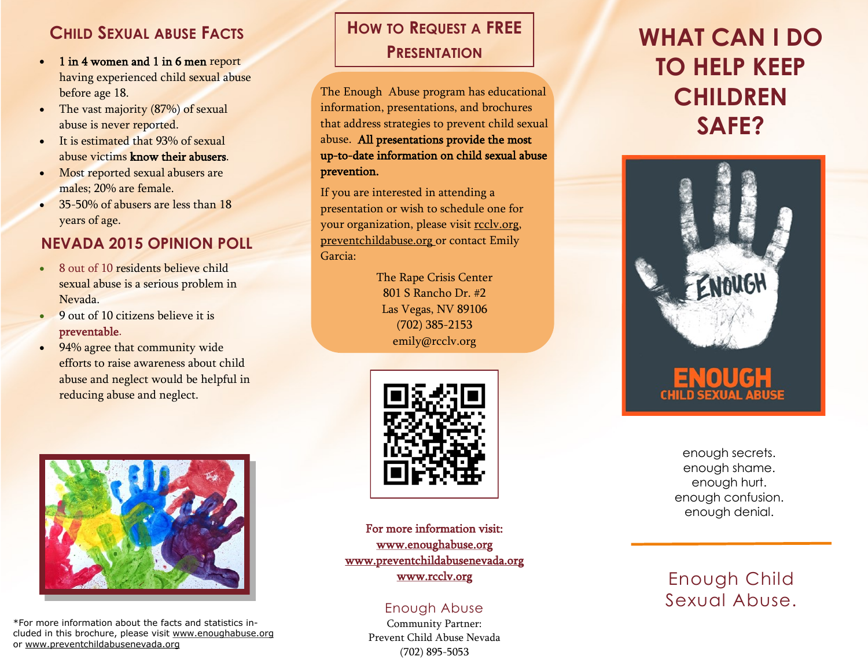### **CHILD SEXUAL ABUSE FACTS**

- 1 in 4 women and 1 in 6 men report having experienced child sexual abuse before age 18.
- The vast majority (87%) of sexual abuse is never reported.
- $\bullet$  It is estimated that 93% of sexual abuse victims know their abusers.
- Most reported sexual abusers are males; 20% are female.
- 35-50% of abusers are less than 18 years of age.

### **NEVADA 2015 OPINION POLL**

- 8 out of 10 residents believe child sexual abuse is a serious problem in Nevada.
- 9 out of 10 citizens believe it is preventable.
- 94% agree that community wide efforts to raise awareness about child abuse and neglect would be helpful in reducing abuse and neglect.



\*For more information about the facts and statistics included in this brochure, please visit www.enoughabuse.org or www.preventchildabusenevada.org

## **HOW TO REQUEST A FREE PRESENTATION**

The Enough Abuse program has educational information, presentations, and brochures that address strategies to prevent child sexual abuse. All presentations provide the most up-to-date information on child sexual abuse prevention.

If you are interested in attending a presentation or wish to schedule one for your organization, please visit rcclv.org, preventchildabuse.org or contact Emily Garcia:

> The Rape Crisis Center 801 S Rancho Dr. #2 Las Vegas, NV 89106 (702) 385-2153 emily@rcclv.org



For more information visit: www.enoughabuse.org www.preventchildabusenevada.org www.rcclv.org

### Enough Abuse

Community Partner: Prevent Child Abuse Nevada (702) 895-5053

# **WHAT CAN I DO TO HELP KEEP CHILDREN SAFE?**



enough secrets. enough shame. enough hurt. enough confusion. enough denial.

### Enough Child Sexual Abuse.